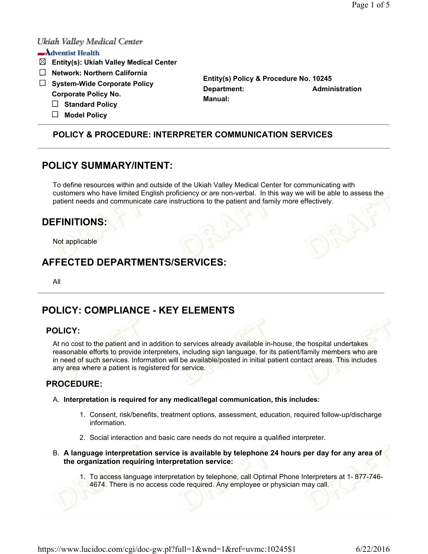## Ukiah Valley Medical Center

## $\longrightarrow$  Adventist Health

- **Entity(s): Ukiah Valley Medical Center**
- **Network: Northern California**
- **System-Wide Corporate Policy Corporate Policy No.** 
	- **Standard Policy**
	- **Model Policy**

**Entity(s) Policy & Procedure No. 10245 Department:** Administration **Manual:** 

## **POLICY & PROCEDURE: INTERPRETER COMMUNICATION SERVICES**

## **POLICY SUMMARY/INTENT:**

To define resources within and outside of the Ukiah Valley Medical Center for communicating with customers who have limited English proficiency or are non-verbal. In this way we will be able to assess the patient needs and communicate care instructions to the patient and family more effectively.

# **DEFINITIONS:**

Not applicable

# **AFFECTED DEPARTMENTS/SERVICES:**

All

# **POLICY: COMPLIANCE - KEY ELEMENTS**

### **POLICY:**

At no cost to the patient and in addition to services already available in-house, the hospital undertakes reasonable efforts to provide interpreters, including sign language, for its patient/family members who are in need of such services. Information will be available/posted in initial patient contact areas. This includes any area where a patient is registered for service.

### **PROCEDURE:**

- A. **Interpretation is required for any medical/legal communication, this includes:** 
	- 1. Consent, risk/benefits, treatment options, assessment, education, required follow-up/discharge information.
	- 2. Social interaction and basic care needs do not require a qualified interpreter.
- B. **A language interpretation service is available by telephone 24 hours per day for any area of the organization requiring interpretation service:**
	- 1. To access language interpretation by telephone, call Optimal Phone Interpreters at 1- 877-746- 4674. There is no access code required. Any employee or physician may call.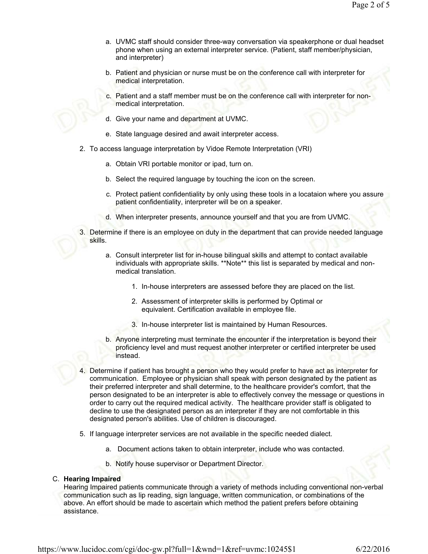- a. UVMC staff should consider three-way conversation via speakerphone or dual headset phone when using an external interpreter service. (Patient, staff member/physician, and interpreter)
- b. Patient and physician or nurse must be on the conference call with interpreter for medical interpretation.
- c. Patient and a staff member must be on the conference call with interpreter for nonmedical interpretation.
- d. Give your name and department at UVMC.
- e. State language desired and await interpreter access.
- 2. To access language interpretation by Vidoe Remote Interpretation (VRI)
	- a. Obtain VRI portable monitor or ipad, turn on.
	- b. Select the required language by touching the icon on the screen.
	- c. Protect patient confidentiality by only using these tools in a locataion where you assure patient confidentiality, interpreter will be on a speaker.
	- d. When interpreter presents, announce yourself and that you are from UVMC.
- 3. Determine if there is an employee on duty in the department that can provide needed language skills.
	- a. Consult interpreter list for in-house bilingual skills and attempt to contact available individuals with appropriate skills. \*\*Note\*\* this list is separated by medical and nonmedical translation.
		- 1. In-house interpreters are assessed before they are placed on the list.
		- 2. Assessment of interpreter skills is performed by Optimal or equivalent. Certification available in employee file.
		- 3. In-house interpreter list is maintained by Human Resources.
	- b. Anyone interpreting must terminate the encounter if the interpretation is beyond their proficiency level and must request another interpreter or certified interpreter be used instead.
- 4. Determine if patient has brought a person who they would prefer to have act as interpreter for communication. Employee or physician shall speak with person designated by the patient as their preferred interpreter and shall determine, to the healthcare provider's comfort, that the person designated to be an interpreter is able to effectively convey the message or questions in order to carry out the required medical activity. The healthcare provider staff is obligated to decline to use the designated person as an interpreter if they are not comfortable in this designated person's abilities. Use of children is discouraged.
- 5. If language interpreter services are not available in the specific needed dialect.
	- a. Document actions taken to obtain interpreter, include who was contacted.
	- b. Notify house supervisor or Department Director.

#### C. **Hearing Impaired**

Hearing Impaired patients communicate through a variety of methods including conventional non-verbal communication such as lip reading, sign language, written communication, or combinations of the above. An effort should be made to ascertain which method the patient prefers before obtaining assistance.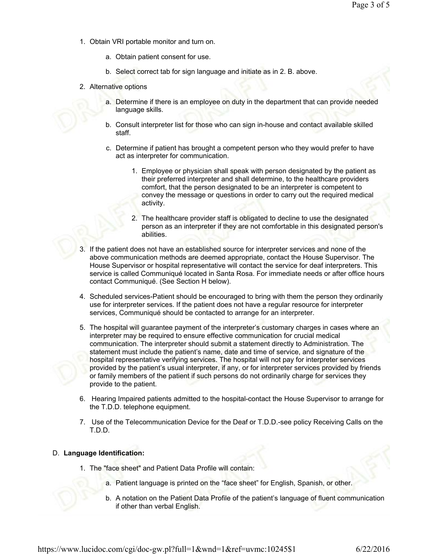- 1. Obtain VRI portable monitor and turn on.
	- a. Obtain patient consent for use.
	- b. Select correct tab for sign language and initiate as in 2. B. above.
- 2. Alternative options
	- a. Determine if there is an employee on duty in the department that can provide needed language skills.
	- b. Consult interpreter list for those who can sign in-house and contact available skilled staff.
	- c. Determine if patient has brought a competent person who they would prefer to have act as interpreter for communication.
		- 1. Employee or physician shall speak with person designated by the patient as their preferred interpreter and shall determine, to the healthcare providers comfort, that the person designated to be an interpreter is competent to convey the message or questions in order to carry out the required medical activity.
		- 2. The healthcare provider staff is obligated to decline to use the designated person as an interpreter if they are not comfortable in this designated person's abilities.
- 3. If the patient does not have an established source for interpreter services and none of the above communication methods are deemed appropriate, contact the House Supervisor. The House Supervisor or hospital representative will contact the service for deaf interpreters. This service is called Communiqué located in Santa Rosa. For immediate needs or after office hours contact Communiqué. (See Section H below).
- 4. Scheduled services-Patient should be encouraged to bring with them the person they ordinarily use for interpreter services. If the patient does not have a regular resource for interpreter services, Communiqué should be contacted to arrange for an interpreter.
- 5. The hospital will guarantee payment of the interpreter's customary charges in cases where an interpreter may be required to ensure effective communication for crucial medical communication. The interpreter should submit a statement directly to Administration. The statement must include the patient's name, date and time of service, and signature of the hospital representative verifying services. The hospital will not pay for interpreter services provided by the patient's usual interpreter, if any, or for interpreter services provided by friends or family members of the patient if such persons do not ordinarily charge for services they provide to the patient.
- 6. Hearing Impaired patients admitted to the hospital-contact the House Supervisor to arrange for the T.D.D. telephone equipment.
- 7. Use of the Telecommunication Device for the Deaf or T.D.D.-see policy Receiving Calls on the T.D.D.

### D. **Language Identification:**

- 1. The "face sheet" and Patient Data Profile will contain:
	- a. Patient language is printed on the "face sheet" for English, Spanish, or other.
	- b. A notation on the Patient Data Profile of the patient's language of fluent communication if other than verbal English.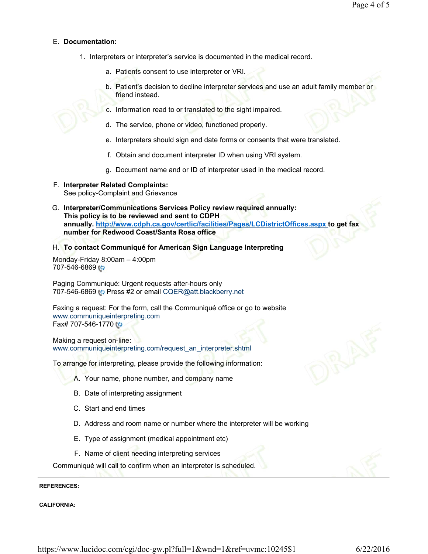### E. **Documentation:**

- 1. Interpreters or interpreter's service is documented in the medical record.
	- a. Patients consent to use interpreter or VRI.
	- b. Patient's decision to decline interpreter services and use an adult family member or friend instead.
	- c. Information read to or translated to the sight impaired.
	- d. The service, phone or video, functioned properly.
	- e. Interpreters should sign and date forms or consents that were translated.
	- f. Obtain and document interpreter ID when using VRI system.
	- g. Document name and or ID of interpreter used in the medical record.
- F. **Interpreter Related Complaints:** See policy-Complaint and Grievance
- G. **Interpreter/Communications Services Policy review required annually: This policy is to be reviewed and sent to CDPH annually. http://www.cdph.ca.gov/certlic/facilities/Pages/LCDistrictOffices.aspx to get fax number for Redwood Coast/Santa Rosa office**
- H. **To contact Communiqué for American Sign Language Interpreting**

Monday-Friday 8:00am – 4:00pm 707-546-6869

Paging Communiqué: Urgent requests after-hours only 707-546-6869 Press #2 or email CQER@att.blackberry.net

Faxing a request: For the form, call the Communiqué office or go to website www.communiqueinterpreting.com Fax# 707-546-1770

Making a request on-line: www.communiqueinterpreting.com/request\_an\_interpreter.shtml

To arrange for interpreting, please provide the following information:

- A. Your name, phone number, and company name
- B. Date of interpreting assignment
- C. Start and end times
- D. Address and room name or number where the interpreter will be working
- E. Type of assignment (medical appointment etc)
- F. Name of client needing interpreting services

Communiqué will call to confirm when an interpreter is scheduled.

#### **REFERENCES:**

**CALIFORNIA:**